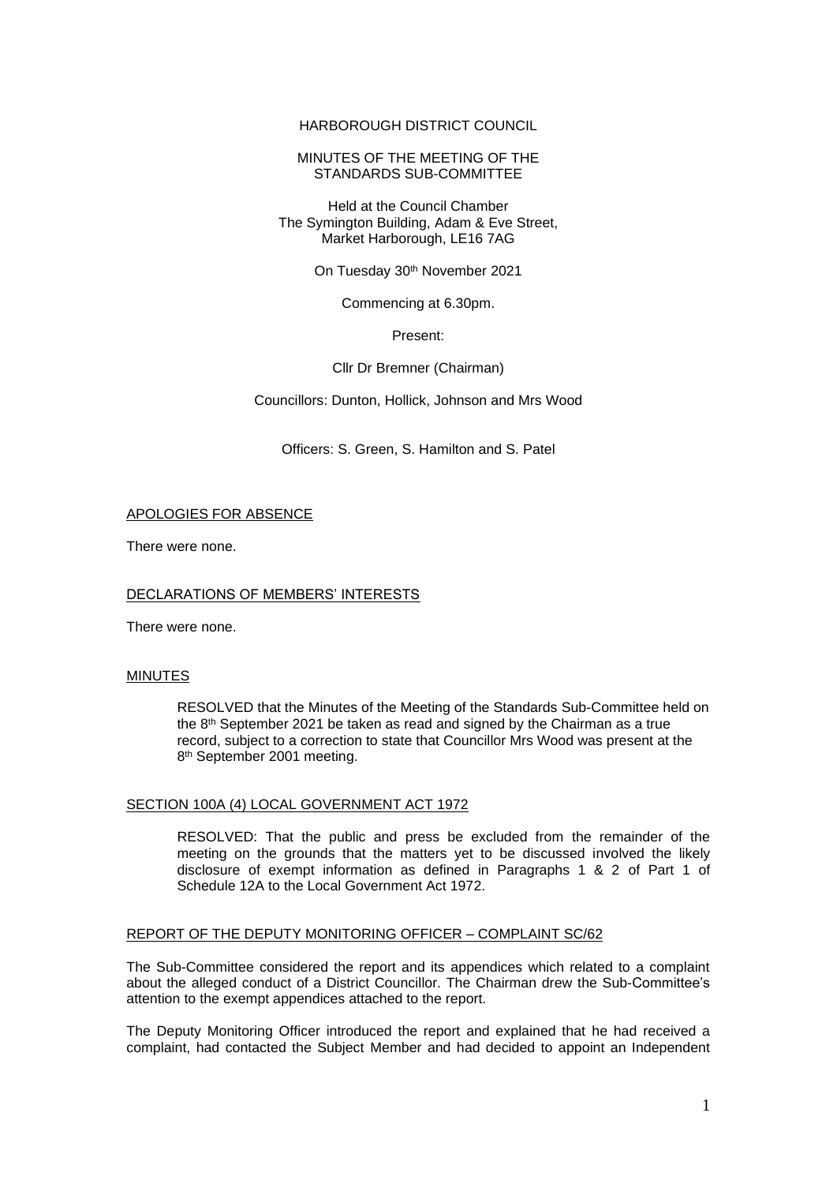## HARBOROUGH DISTRICT COUNCIL

## MINUTES OF THE MEETING OF THE STANDARDS SUB-COMMITTEE

#### Held at the Council Chamber The Symington Building, Adam & Eve Street, Market Harborough, LE16 7AG

On Tuesday 30<sup>th</sup> November 2021

Commencing at 6.30pm.

Present:

## Cllr Dr Bremner (Chairman)

Councillors: Dunton, Hollick, Johnson and Mrs Wood

Officers: S. Green, S. Hamilton and S. Patel

## APOLOGIES FOR ABSENCE

There were none.

## DECLARATIONS OF MEMBERS' INTERESTS

There were none.

#### MINUTES

RESOLVED that the Minutes of the Meeting of the Standards Sub-Committee held on the 8th September 2021 be taken as read and signed by the Chairman as a true record, subject to a correction to state that Councillor Mrs Wood was present at the 8<sup>th</sup> September 2001 meeting.

## SECTION 100A (4) LOCAL GOVERNMENT ACT 1972

RESOLVED: That the public and press be excluded from the remainder of the meeting on the grounds that the matters yet to be discussed involved the likely disclosure of exempt information as defined in Paragraphs 1 & 2 of Part 1 of Schedule 12A to the Local Government Act 1972.

#### REPORT OF THE DEPUTY MONITORING OFFICER – COMPLAINT SC/62

The Sub-Committee considered the report and its appendices which related to a complaint about the alleged conduct of a District Councillor. The Chairman drew the Sub-Committee's attention to the exempt appendices attached to the report.

The Deputy Monitoring Officer introduced the report and explained that he had received a complaint, had contacted the Subject Member and had decided to appoint an Independent